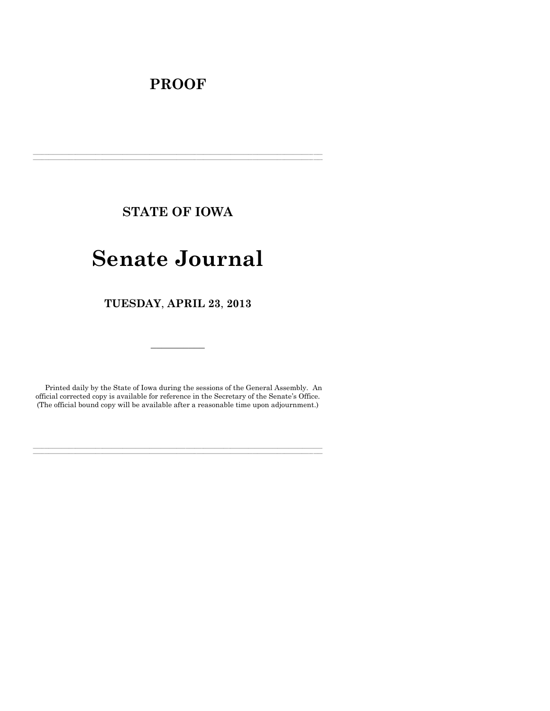# **PROOF**

**STATE OF IOWA**

**\_\_\_\_\_\_\_\_\_\_\_\_\_\_\_\_\_\_\_\_\_\_\_\_\_\_\_\_\_\_\_\_\_\_\_\_\_\_\_\_\_\_\_\_\_\_\_\_\_\_\_\_\_\_\_\_\_\_\_\_\_\_\_\_\_\_\_\_\_\_\_\_\_\_\_\_\_\_\_\_\_\_\_\_\_\_\_\_\_\_\_\_\_\_\_\_\_\_\_\_\_\_\_\_\_\_\_\_\_\_\_\_\_\_\_\_\_\_\_\_\_\_\_\_\_\_\_\_\_ \_\_\_\_\_\_\_\_\_\_\_\_\_\_\_\_\_\_\_\_\_\_\_\_\_\_\_\_\_\_\_\_\_\_\_\_\_\_\_\_\_\_\_\_\_\_\_\_\_\_\_\_\_\_\_\_\_\_\_\_\_\_\_\_\_\_\_\_\_\_\_\_\_\_\_\_\_\_\_\_\_\_\_\_\_\_\_\_\_\_\_\_\_\_\_\_\_\_\_\_\_\_\_\_\_\_\_\_\_\_\_\_\_\_\_\_\_\_\_\_\_\_\_\_\_\_\_\_\_**

# **Senate Journal**

**TUESDAY**, **APRIL 23**, **2013**

Printed daily by the State of Iowa during the sessions of the General Assembly. An official corrected copy is available for reference in the Secretary of the Senate's Office. (The official bound copy will be available after a reasonable time upon adjournment.)

**\_\_\_\_\_\_\_\_\_\_\_\_\_\_\_\_\_\_\_\_\_\_\_\_\_\_\_\_\_\_\_\_\_\_\_\_\_\_\_\_\_\_\_\_\_\_\_\_\_\_\_\_\_\_\_\_\_\_\_\_\_\_\_\_\_\_\_\_\_\_\_\_\_\_\_\_\_\_\_\_\_\_\_\_\_\_\_\_\_\_\_\_\_\_\_\_\_\_\_\_\_\_\_\_\_\_\_\_\_\_\_\_\_\_\_\_\_\_\_\_\_\_\_\_\_\_\_\_\_ \_\_\_\_\_\_\_\_\_\_\_\_\_\_\_\_\_\_\_\_\_\_\_\_\_\_\_\_\_\_\_\_\_\_\_\_\_\_\_\_\_\_\_\_\_\_\_\_\_\_\_\_\_\_\_\_\_\_\_\_\_\_\_\_\_\_\_\_\_\_\_\_\_\_\_\_\_\_\_\_\_\_\_\_\_\_\_\_\_\_\_\_\_\_\_\_\_\_\_\_\_\_\_\_\_\_\_\_\_\_\_\_\_\_\_\_\_\_\_\_\_\_\_\_\_\_\_\_\_**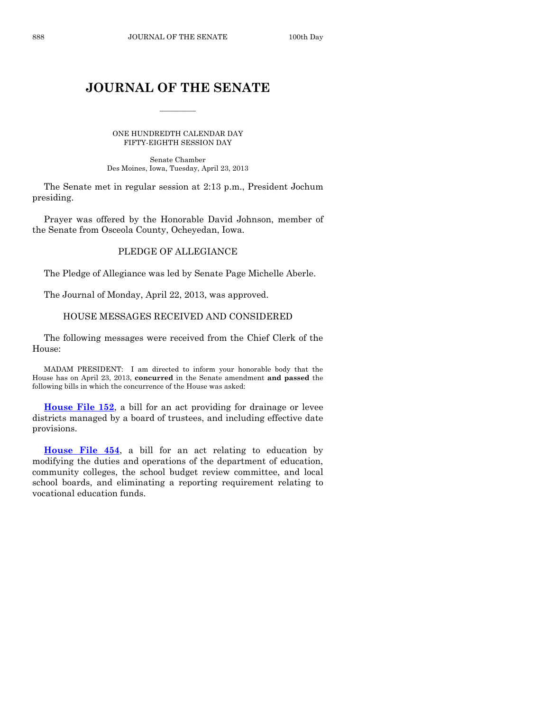# **JOURNAL OF THE SENATE**

 $\frac{1}{2}$ 

ONE HUNDREDTH CALENDAR DAY FIFTY-EIGHTH SESSION DAY

Senate Chamber Des Moines, Iowa, Tuesday, April 23, 2013

The Senate met in regular session at 2:13 p.m., President Jochum presiding.

Prayer was offered by the Honorable David Johnson, member of the Senate from Osceola County, Ocheyedan, Iowa.

# PLEDGE OF ALLEGIANCE

The Pledge of Allegiance was led by Senate Page Michelle Aberle.

The Journal of Monday, April 22, 2013, was approved.

#### HOUSE MESSAGES RECEIVED AND CONSIDERED

The following messages were received from the Chief Clerk of the House:

MADAM PRESIDENT: I am directed to inform your honorable body that the House has on April 23, 2013, **concurred** in the Senate amendment **and passed** the following bills in which the concurrence of the House was asked:

**[House File 152](http://coolice.legis.state.ia.us/Cool-ICE/default.asp?Category=billinfo&Service=Billbook&frame=1&GA=85&hbill=HF152)**, a bill for an act providing for drainage or levee districts managed by a board of trustees, and including effective date provisions.

**[House File 454](http://coolice.legis.state.ia.us/Cool-ICE/default.asp?Category=billinfo&Service=Billbook&frame=1&GA=85&hbill=HF454)**, a bill for an act relating to education by modifying the duties and operations of the department of education, community colleges, the school budget review committee, and local school boards, and eliminating a reporting requirement relating to vocational education funds.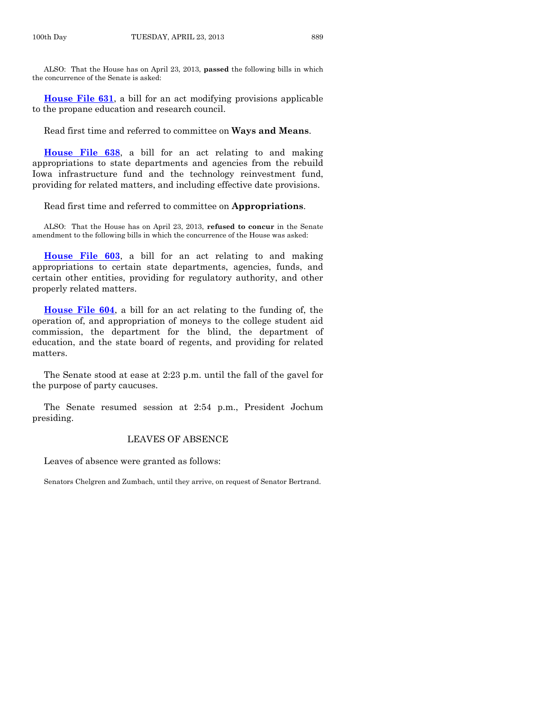ALSO: That the House has on April 23, 2013, **passed** the following bills in which the concurrence of the Senate is asked:

**[House File 631](http://coolice.legis.state.ia.us/Cool-ICE/default.asp?Category=billinfo&Service=Billbook&frame=1&GA=85&hbill=HF631)**, a bill for an act modifying provisions applicable to the propane education and research council.

Read first time and referred to committee on **Ways and Means**.

**[House File 638](http://coolice.legis.state.ia.us/Cool-ICE/default.asp?Category=billinfo&Service=Billbook&frame=1&GA=85&hbill=HF638)**, a bill for an act relating to and making appropriations to state departments and agencies from the rebuild Iowa infrastructure fund and the technology reinvestment fund, providing for related matters, and including effective date provisions.

Read first time and referred to committee on **Appropriations**.

ALSO: That the House has on April 23, 2013, **refused to concur** in the Senate amendment to the following bills in which the concurrence of the House was asked:

**[House File 603](http://coolice.legis.state.ia.us/Cool-ICE/default.asp?Category=billinfo&Service=Billbook&frame=1&GA=85&hbill=HF603)**, a bill for an act relating to and making appropriations to certain state departments, agencies, funds, and certain other entities, providing for regulatory authority, and other properly related matters.

**[House File 604](http://coolice.legis.state.ia.us/Cool-ICE/default.asp?Category=billinfo&Service=Billbook&frame=1&GA=85&hbill=HF604)**, a bill for an act relating to the funding of, the operation of, and appropriation of moneys to the college student aid commission, the department for the blind, the department of education, and the state board of regents, and providing for related matters.

The Senate stood at ease at 2:23 p.m. until the fall of the gavel for the purpose of party caucuses.

The Senate resumed session at 2:54 p.m., President Jochum presiding.

## LEAVES OF ABSENCE

Leaves of absence were granted as follows:

Senators Chelgren and Zumbach, until they arrive, on request of Senator Bertrand.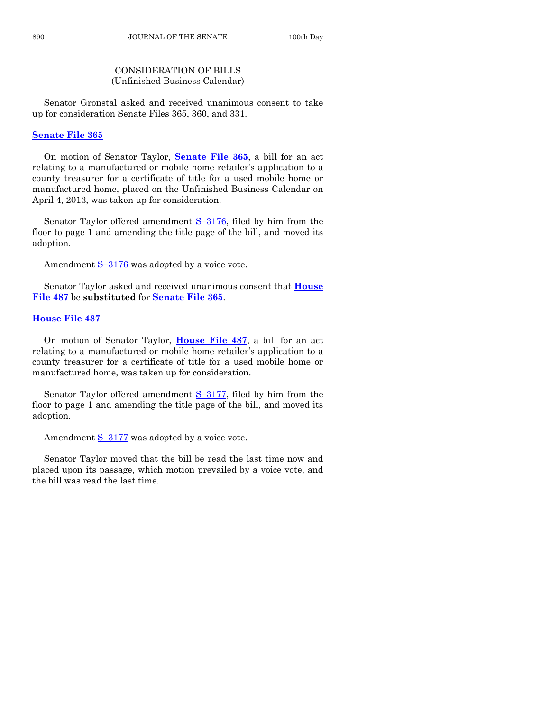# CONSIDERATION OF BILLS (Unfinished Business Calendar)

Senator Gronstal asked and received unanimous consent to take up for consideration Senate Files 365, 360, and 331.

## **[Senate File 365](http://coolice.legis.state.ia.us/Cool-ICE/default.asp?Category=billinfo&Service=Billbook&frame=1&GA=85&hbill=SF365)**

On motion of Senator Taylor, **[Senate File 365](http://coolice.legis.state.ia.us/Cool-ICE/default.asp?Category=billinfo&Service=Billbook&frame=1&GA=85&hbill=SF365)**, a bill for an act relating to a manufactured or mobile home retailer's application to a county treasurer for a certificate of title for a used mobile home or manufactured home, placed on the Unfinished Business Calendar on April 4, 2013, was taken up for consideration.

Senator Taylor offered amendment  $S-3176$ , filed by him from the floor to page 1 and amending the title page of the bill, and moved its adoption.

Amendment S-[3176](http://coolice.legis.state.ia.us/Cool-ICE/default.asp?Category=billinfo&Service=Billbook&frame=1&GA=85&hbill=S3176) was adopted by a voice vote.

Senator Taylor asked and received unanimous consent that **[House](http://coolice.legis.state.ia.us/Cool-ICE/default.asp?Category=billinfo&Service=Billbook&frame=1&GA=85&hbill=HF487)  [File 487](http://coolice.legis.state.ia.us/Cool-ICE/default.asp?Category=billinfo&Service=Billbook&frame=1&GA=85&hbill=HF487)** be **substituted** for **[Senate File 365](http://coolice.legis.state.ia.us/Cool-ICE/default.asp?Category=billinfo&Service=Billbook&frame=1&GA=85&hbill=SF365)**.

# **[House File 487](http://coolice.legis.state.ia.us/Cool-ICE/default.asp?Category=billinfo&Service=Billbook&frame=1&GA=85&hbill=HF487)**

On motion of Senator Taylor, **[House File 487](http://coolice.legis.state.ia.us/Cool-ICE/default.asp?Category=billinfo&Service=Billbook&frame=1&GA=85&hbill=HF487)**, a bill for an act relating to a manufactured or mobile home retailer's application to a county treasurer for a certificate of title for a used mobile home or manufactured home, was taken up for consideration.

Senator Taylor offered amendment  $S-3177$ , filed by him from the floor to page 1 and amending the title page of the bill, and moved its adoption.

Amendment  $S-3177$  $S-3177$  was adopted by a voice vote.

Senator Taylor moved that the bill be read the last time now and placed upon its passage, which motion prevailed by a voice vote, and the bill was read the last time.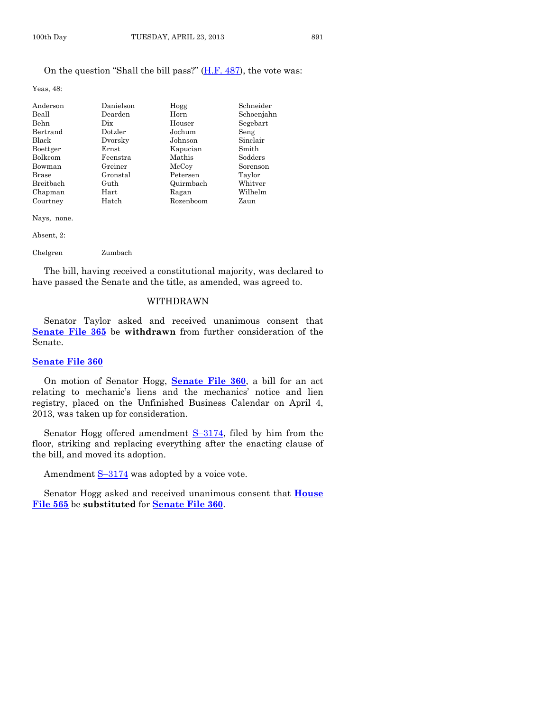# On the question "Shall the bill pass?" [\(H.F. 487\)](http://coolice.legis.state.ia.us/Cool-ICE/default.asp?Category=billinfo&Service=Billbook&frame=1&GA=85&hbill=HF487), the vote was:

Yeas, 48:

| Anderson     | Danielson   | Hogg      | Schneider  |
|--------------|-------------|-----------|------------|
| Beall        | Dearden     | Horn      | Schoenjahn |
| Behn         | Dix         | Houser    | Segebart   |
| Bertrand     | Dotzler     | Jochum    | Seng       |
| Black        | Dvorsky     | Johnson   | Sinclair   |
| Boettger     | $\rm Ernst$ | Kapucian  | Smith      |
| Bolkcom      | Feenstra    | Mathis    | Sodders    |
| Bowman       | Greiner     | McCoy     | Sorenson   |
| <b>Brase</b> | Gronstal    | Petersen  | Taylor     |
| Breitbach    | Guth        | Quirmbach | Whitver    |
| Chapman      | $\rm Hart$  | Ragan     | Wilhelm    |
| Courtney     | Hatch       | Rozenboom | Zaun       |

Nays, none.

Absent, 2:

Chelgren Zumbach

The bill, having received a constitutional majority, was declared to have passed the Senate and the title, as amended, was agreed to.

#### WITHDRAWN

Senator Taylor asked and received unanimous consent that **[Senate File 365](http://coolice.legis.state.ia.us/Cool-ICE/default.asp?Category=billinfo&Service=Billbook&frame=1&GA=85&hbill=SF365)** be **withdrawn** from further consideration of the Senate.

#### **[Senate File 360](http://coolice.legis.state.ia.us/Cool-ICE/default.asp?Category=billinfo&Service=Billbook&frame=1&GA=85&hbill=SF360)**

On motion of Senator Hogg, **[Senate File 360](http://coolice.legis.state.ia.us/Cool-ICE/default.asp?Category=billinfo&Service=Billbook&frame=1&GA=85&hbill=SF360)**, a bill for an act relating to mechanic's liens and the mechanics' notice and lien registry, placed on the Unfinished Business Calendar on April 4, 2013, was taken up for consideration.

Senator Hogg offered amendment S–[3174,](http://coolice.legis.state.ia.us/Cool-ICE/default.asp?Category=billinfo&Service=Billbook&frame=1&GA=85&hbill=S3174) filed by him from the floor, striking and replacing everything after the enacting clause of the bill, and moved its adoption.

Amendment  $S-3174$  $S-3174$  was adopted by a voice vote.

Senator Hogg asked and received unanimous consent that **[House](http://coolice.legis.state.ia.us/Cool-ICE/default.asp?Category=billinfo&Service=Billbook&frame=1&GA=85&hbill=HF565)  [File 565](http://coolice.legis.state.ia.us/Cool-ICE/default.asp?Category=billinfo&Service=Billbook&frame=1&GA=85&hbill=HF565)** be **substituted** for **[Senate File 360](http://coolice.legis.state.ia.us/Cool-ICE/default.asp?Category=billinfo&Service=Billbook&frame=1&GA=85&hbill=SF360)**.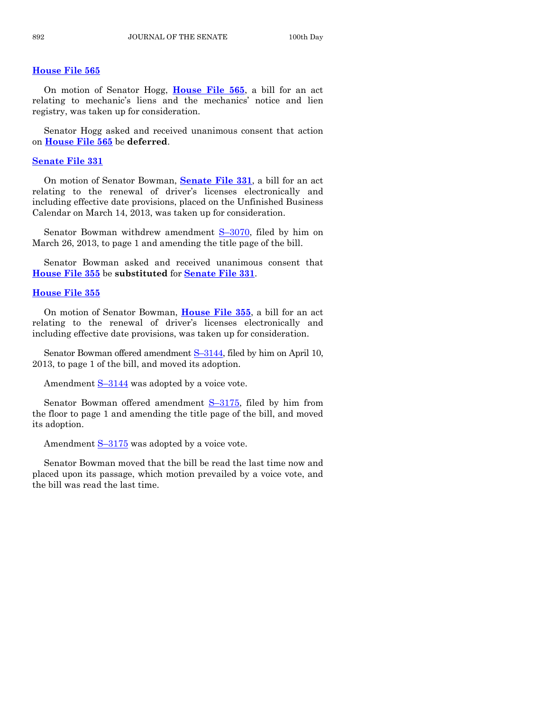#### **[House File 565](http://coolice.legis.state.ia.us/Cool-ICE/default.asp?Category=billinfo&Service=Billbook&frame=1&GA=85&hbill=HF565)**

On motion of Senator Hogg, **[House File 565](http://coolice.legis.state.ia.us/Cool-ICE/default.asp?Category=billinfo&Service=Billbook&frame=1&GA=85&hbill=HF565)**, a bill for an act relating to mechanic's liens and the mechanics' notice and lien registry, was taken up for consideration.

Senator Hogg asked and received unanimous consent that action on **[House File 565](http://coolice.legis.state.ia.us/Cool-ICE/default.asp?Category=billinfo&Service=Billbook&frame=1&GA=85&hbill=HF565)** be **deferred**.

#### **[Senate File 331](http://coolice.legis.state.ia.us/Cool-ICE/default.asp?Category=billinfo&Service=Billbook&frame=1&GA=85&hbill=SF331)**

On motion of Senator Bowman, **[Senate File 331](http://coolice.legis.state.ia.us/Cool-ICE/default.asp?Category=billinfo&Service=Billbook&frame=1&GA=85&hbill=SF331)**, a bill for an act relating to the renewal of driver's licenses electronically and including effective date provisions, placed on the Unfinished Business Calendar on March 14, 2013, was taken up for consideration.

Senator Bowman withdrew amendment S-[3070,](http://coolice.legis.state.ia.us/Cool-ICE/default.asp?Category=billinfo&Service=Billbook&frame=1&GA=85&hbill=S3070) filed by him on March 26, 2013, to page 1 and amending the title page of the bill.

Senator Bowman asked and received unanimous consent that **[House File 355](http://coolice.legis.state.ia.us/Cool-ICE/default.asp?Category=billinfo&Service=Billbook&frame=1&GA=85&hbill=HF355)** be **substituted** for **[Senate File 331](http://coolice.legis.state.ia.us/Cool-ICE/default.asp?Category=billinfo&Service=Billbook&frame=1&GA=85&hbill=SF331)**.

#### **[House File 355](http://coolice.legis.state.ia.us/Cool-ICE/default.asp?Category=billinfo&Service=Billbook&frame=1&GA=85&hbill=HF355)**

On motion of Senator Bowman, **[House File 355](http://coolice.legis.state.ia.us/Cool-ICE/default.asp?Category=billinfo&Service=Billbook&frame=1&GA=85&hbill=HF355)**, a bill for an act relating to the renewal of driver's licenses electronically and including effective date provisions, was taken up for consideration.

Senator Bowman offered amendment S–[3144,](http://coolice.legis.state.ia.us/Cool-ICE/default.asp?Category=billinfo&Service=Billbook&frame=1&GA=85&hbill=S3144) filed by him on April 10, 2013, to page 1 of the bill, and moved its adoption.

Amendment S–[3144](http://coolice.legis.state.ia.us/Cool-ICE/default.asp?Category=billinfo&Service=Billbook&frame=1&GA=85&hbill=S3144) was adopted by a voice vote.

Senator Bowman offered amendment  $S-3175$ , filed by him from the floor to page 1 and amending the title page of the bill, and moved its adoption.

Amendment  $S-3175$  $S-3175$  was adopted by a voice vote.

Senator Bowman moved that the bill be read the last time now and placed upon its passage, which motion prevailed by a voice vote, and the bill was read the last time.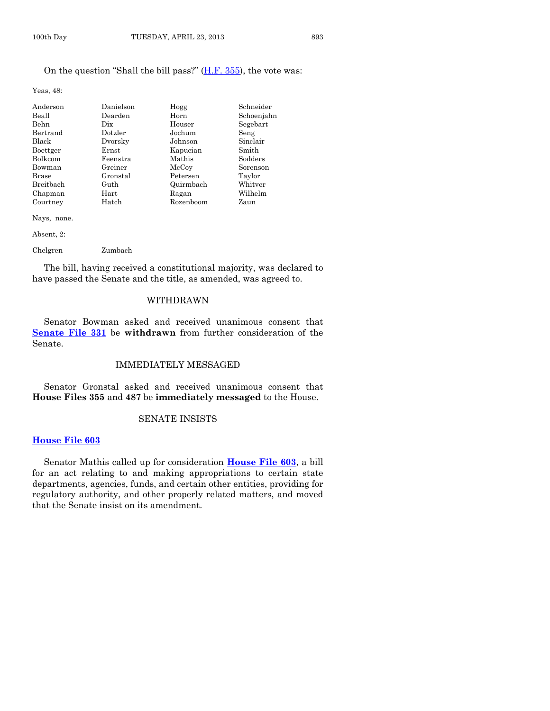# On the question "Shall the bill pass?" [\(H.F. 355\)](http://coolice.legis.state.ia.us/Cool-ICE/default.asp?Category=billinfo&Service=Billbook&frame=1&GA=85&hbill=HF355), the vote was:

Yeas, 48:

| Danielson   | Hogg      | Schneider  |
|-------------|-----------|------------|
| Dearden     | Horn      | Schoenjahn |
| Dix         | Houser    | Segebart   |
| Dotzler     | Jochum    | Seng       |
| Dvorsky     | Johnson   | Sinclair   |
| $\rm Ernst$ | Kapucian  | Smith      |
| Feenstra    | Mathis    | Sodders    |
| Greiner     | McCoy     | Sorenson   |
| Gronstal    | Petersen  | Taylor     |
| Guth        | Quirmbach | Whitver    |
| $\rm Hart$  | Ragan     | Wilhelm    |
| Hatch       | Rozenboom | Zaun       |
|             |           |            |

Nays, none.

Absent, 2:

Chelgren Zumbach

The bill, having received a constitutional majority, was declared to have passed the Senate and the title, as amended, was agreed to.

#### WITHDRAWN

Senator Bowman asked and received unanimous consent that **[Senate File 331](http://coolice.legis.state.ia.us/Cool-ICE/default.asp?Category=billinfo&Service=Billbook&frame=1&GA=85&hbill=SF331)** be **withdrawn** from further consideration of the Senate.

# IMMEDIATELY MESSAGED

Senator Gronstal asked and received unanimous consent that **House Files 355** and **487** be **immediately messaged** to the House.

#### SENATE INSISTS

#### **[House File 603](http://coolice.legis.state.ia.us/Cool-ICE/default.asp?Category=billinfo&Service=Billbook&frame=1&GA=85&hbill=HF603)**

Senator Mathis called up for consideration **[House File 603](http://coolice.legis.state.ia.us/Cool-ICE/default.asp?Category=billinfo&Service=Billbook&frame=1&GA=85&hbill=HF603)**, a bill for an act relating to and making appropriations to certain state departments, agencies, funds, and certain other entities, providing for regulatory authority, and other properly related matters, and moved that the Senate insist on its amendment.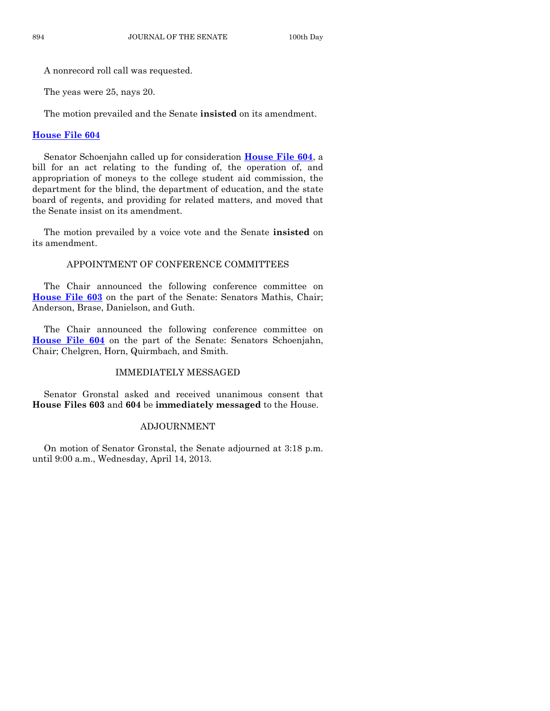A nonrecord roll call was requested.

The yeas were 25, nays 20.

The motion prevailed and the Senate **insisted** on its amendment.

#### **[House File 604](http://coolice.legis.state.ia.us/Cool-ICE/default.asp?Category=billinfo&Service=Billbook&frame=1&GA=85&hbill=HF604)**

Senator Schoenjahn called up for consideration **[House File 604](http://coolice.legis.state.ia.us/Cool-ICE/default.asp?Category=billinfo&Service=Billbook&frame=1&GA=85&hbill=HF604)**, a bill for an act relating to the funding of, the operation of, and appropriation of moneys to the college student aid commission, the department for the blind, the department of education, and the state board of regents, and providing for related matters, and moved that the Senate insist on its amendment.

The motion prevailed by a voice vote and the Senate **insisted** on its amendment.

### APPOINTMENT OF CONFERENCE COMMITTEES

The Chair announced the following conference committee on **[House File 603](http://coolice.legis.state.ia.us/Cool-ICE/default.asp?Category=billinfo&Service=Billbook&frame=1&GA=85&hbill=HF603)** on the part of the Senate: Senators Mathis, Chair; Anderson, Brase, Danielson, and Guth.

The Chair announced the following conference committee on **[House File 604](http://coolice.legis.state.ia.us/Cool-ICE/default.asp?Category=billinfo&Service=Billbook&frame=1&GA=85&hbill=HF604)** on the part of the Senate: Senators Schoenjahn, Chair; Chelgren, Horn, Quirmbach, and Smith.

#### IMMEDIATELY MESSAGED

Senator Gronstal asked and received unanimous consent that **House Files 603** and **604** be **immediately messaged** to the House.

#### ADJOURNMENT

On motion of Senator Gronstal, the Senate adjourned at 3:18 p.m. until 9:00 a.m., Wednesday, April 14, 2013.